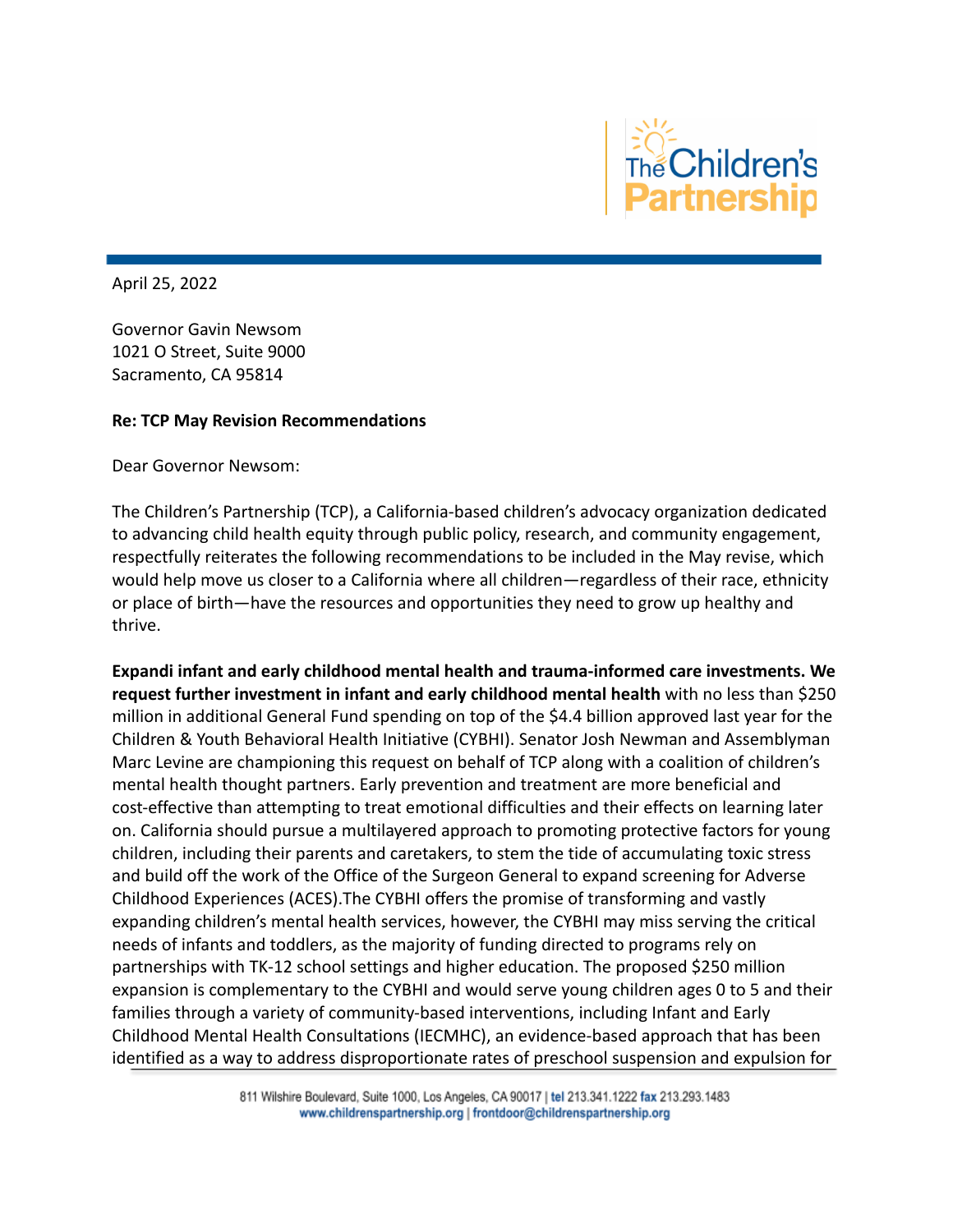

April 25, 2022

Governor Gavin Newsom 1021 O Street, Suite 9000 Sacramento, CA 95814

## **Re: TCP May Revision Recommendations**

Dear Governor Newsom:

The Children's Partnership (TCP), a California-based children's advocacy organization dedicated to advancing child health equity through public policy, research, and community engagement, respectfully reiterates the following recommendations to be included in the May revise, which would help move us closer to a California where all children—regardless of their race, ethnicity or place of birth—have the resources and opportunities they need to grow up healthy and thrive.

**Expandi infant and early childhood mental health and trauma-informed care investments. We request further investment in infant and early childhood mental health** with no less than \$250 million in additional General Fund spending on top of the \$4.4 billion approved last year for the Children & Youth Behavioral Health Initiative (CYBHI). Senator Josh Newman and Assemblyman Marc Levine are championing this request on behalf of TCP along with a coalition of children's mental health thought partners. Early prevention and treatment are more beneficial and cost-effective than attempting to treat emotional difficulties and their effects on learning later on. California should pursue a multilayered approach to promoting protective factors for young children, including their parents and caretakers, to stem the tide of accumulating toxic stress and build off the work of the Office of the Surgeon General to expand screening for Adverse Childhood Experiences (ACES).The CYBHI offers the promise of transforming and vastly expanding children's mental health services, however, the CYBHI may miss serving the critical needs of infants and toddlers, as the majority of funding directed to programs rely on partnerships with TK-12 school settings and higher education. The proposed \$250 million expansion is complementary to the CYBHI and would serve young children ages 0 to 5 and their families through a variety of community-based interventions, including Infant and Early Childhood Mental Health Consultations (IECMHC), an evidence-based approach that has been identified as a way to address disproportionate rates of preschool suspension and expulsion for

> 811 Wilshire Boulevard, Suite 1000, Los Angeles, CA 90017 | tel 213.341.1222 fax 213.293.1483 www.childrenspartnership.org | frontdoor@childrenspartnership.org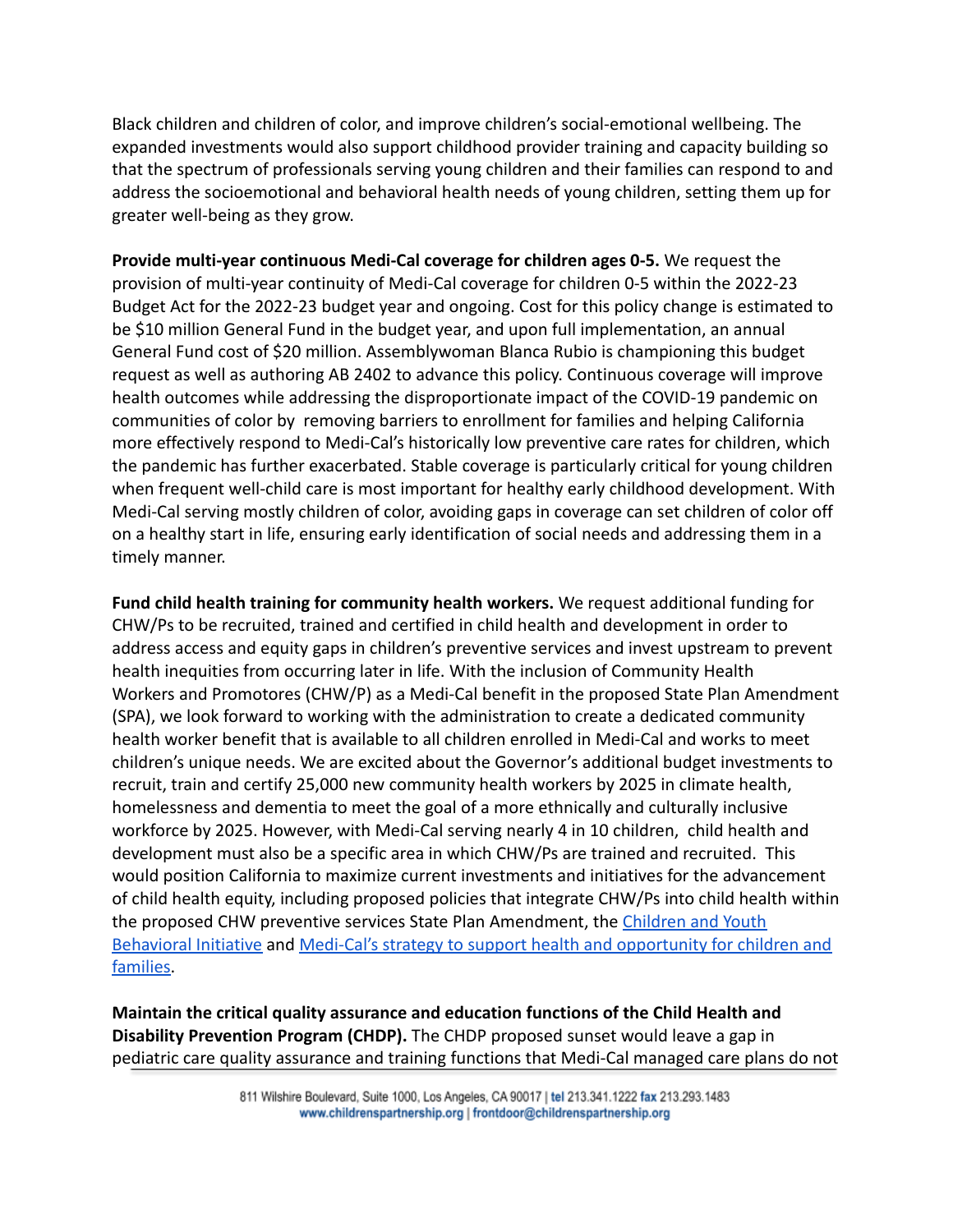Black children and children of color, and improve children's social-emotional wellbeing. The expanded investments would also support childhood provider training and capacity building so that the spectrum of professionals serving young children and their families can respond to and address the socioemotional and behavioral health needs of young children, setting them up for greater well-being as they grow.

**Provide multi-year continuous Medi-Cal coverage for children ages 0-5.** We request the provision of multi-year continuity of Medi-Cal coverage for children 0-5 within the 2022-23 Budget Act for the 2022-23 budget year and ongoing. Cost for this policy change is estimated to be \$10 million General Fund in the budget year, and upon full implementation, an annual General Fund cost of \$20 million. Assemblywoman Blanca Rubio is championing this budget request as well as authoring AB 2402 to advance this policy. Continuous coverage will improve health outcomes while addressing the disproportionate impact of the COVID-19 pandemic on communities of color by removing barriers to enrollment for families and helping California more effectively respond to Medi-Cal's historically low preventive care rates for children, which the pandemic has further exacerbated. Stable coverage is particularly critical for young children when frequent well-child care is most important for healthy early childhood development. With Medi-Cal serving mostly children of color, avoiding gaps in coverage can set children of color off on a healthy start in life, ensuring early identification of social needs and addressing them in a timely manner.

**Fund child health training for community health workers.** We request additional funding for CHW/Ps to be recruited, trained and certified in child health and development in order to address access and equity gaps in children's preventive services and invest upstream to prevent health inequities from occurring later in life. With the inclusion of Community Health Workers and Promotores (CHW/P) as a Medi-Cal benefit in the proposed State Plan Amendment (SPA), we look forward to working with the administration to create a dedicated community health worker benefit that is available to all children enrolled in Medi-Cal and works to meet children's unique needs. We are excited about the Governor's additional budget investments to recruit, train and certify 25,000 new community health workers by 2025 in climate health, homelessness and dementia to meet the goal of a more ethnically and culturally inclusive workforce by 2025. However, with Medi-Cal serving nearly 4 in 10 children, child health and development must also be a specific area in which CHW/Ps are trained and recruited. This would position California to maximize current investments and initiatives for the advancement of child health equity, including proposed policies that integrate CHW/Ps into child health within the proposed CHW preventive services State Plan Amendment, the [Children and Youth](https://www.chhs.ca.gov/home/children-and-youth-behavioral-health-initiative/) [Behavioral Initiative](https://www.chhs.ca.gov/home/children-and-youth-behavioral-health-initiative/) and Medi-Cal's strategy to support [health and opportunity for children and](https://www.dhcs.ca.gov/Documents/DHCS-Medi-Cal%27s-Strategy-to-Support-Health-and-Opportunity-for-Children-and-Families.pdf) [families.](https://www.dhcs.ca.gov/Documents/DHCS-Medi-Cal%27s-Strategy-to-Support-Health-and-Opportunity-for-Children-and-Families.pdf)

**Maintain the critical quality assurance and education functions of the Child Health and Disability Prevention Program (CHDP).** The CHDP proposed sunset would leave a gap in pediatric care quality assurance and training functions that Medi-Cal managed care plans do not

> 811 Wilshire Boulevard, Suite 1000, Los Angeles, CA 90017 | tel 213.341.1222 fax 213.293.1483 www.childrenspartnership.org | frontdoor@childrenspartnership.org